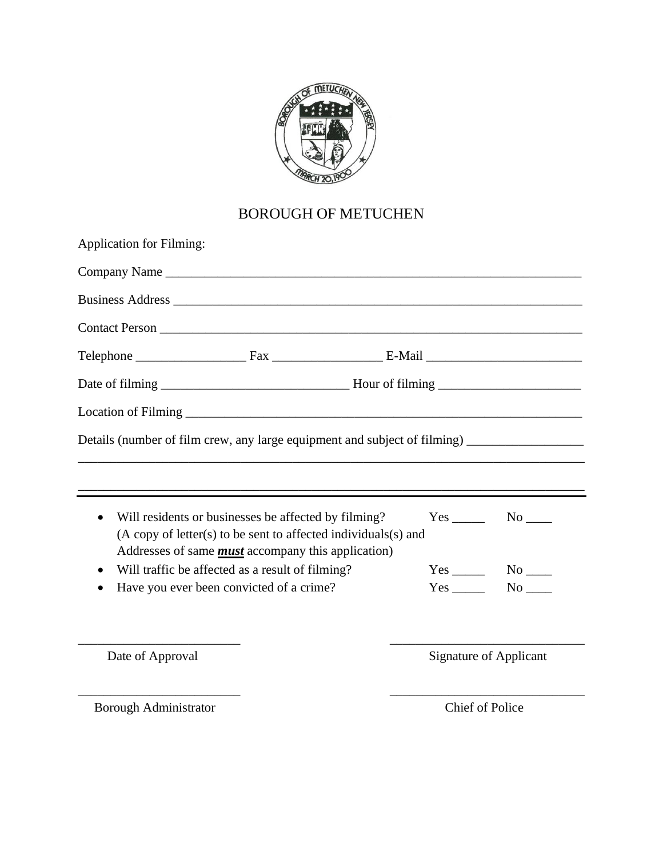

# BOROUGH OF METUCHEN

| <b>Application for Filming:</b>                                                                                                     |  |  |  |                        |  |
|-------------------------------------------------------------------------------------------------------------------------------------|--|--|--|------------------------|--|
| Company Name                                                                                                                        |  |  |  |                        |  |
|                                                                                                                                     |  |  |  |                        |  |
|                                                                                                                                     |  |  |  |                        |  |
|                                                                                                                                     |  |  |  |                        |  |
|                                                                                                                                     |  |  |  |                        |  |
|                                                                                                                                     |  |  |  |                        |  |
| Details (number of film crew, any large equipment and subject of filming) _________________________                                 |  |  |  |                        |  |
|                                                                                                                                     |  |  |  |                        |  |
| Will residents or businesses be affected by filming?<br>$\bullet$<br>(A copy of letter(s) to be sent to affected individuals(s) and |  |  |  |                        |  |
| Addresses of same <i>must</i> accompany this application)                                                                           |  |  |  |                        |  |
| Will traffic be affected as a result of filming?                                                                                    |  |  |  | $Yes$ No $N$           |  |
| Have you ever been convicted of a crime?                                                                                            |  |  |  | $Yes$ No $N$ o         |  |
|                                                                                                                                     |  |  |  |                        |  |
| Date of Approval                                                                                                                    |  |  |  | Signature of Applicant |  |
|                                                                                                                                     |  |  |  |                        |  |

Borough Administrator Chief of Police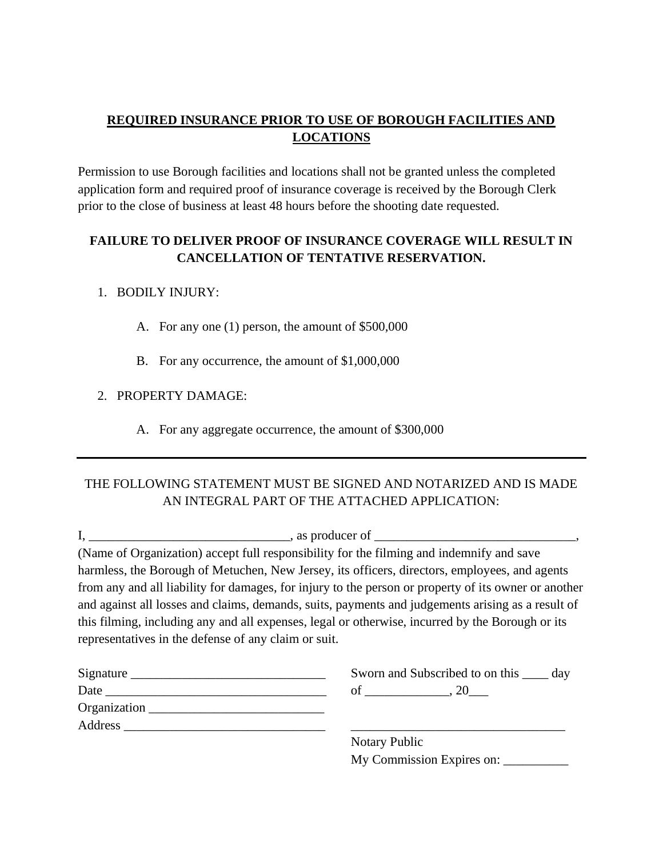## **REQUIRED INSURANCE PRIOR TO USE OF BOROUGH FACILITIES AND LOCATIONS**

Permission to use Borough facilities and locations shall not be granted unless the completed application form and required proof of insurance coverage is received by the Borough Clerk prior to the close of business at least 48 hours before the shooting date requested.

## **FAILURE TO DELIVER PROOF OF INSURANCE COVERAGE WILL RESULT IN CANCELLATION OF TENTATIVE RESERVATION.**

#### 1. BODILY INJURY:

- A. For any one (1) person, the amount of \$500,000
- B. For any occurrence, the amount of \$1,000,000

#### 2. PROPERTY DAMAGE:

A. For any aggregate occurrence, the amount of \$300,000

## THE FOLLOWING STATEMENT MUST BE SIGNED AND NOTARIZED AND IS MADE AN INTEGRAL PART OF THE ATTACHED APPLICATION:

|                                                      | (Name of Organization) accept full responsibility for the filming and indemnify and save                                                                                                                                                                                                                      |
|------------------------------------------------------|---------------------------------------------------------------------------------------------------------------------------------------------------------------------------------------------------------------------------------------------------------------------------------------------------------------|
|                                                      | harmless, the Borough of Metuchen, New Jersey, its officers, directors, employees, and agents                                                                                                                                                                                                                 |
| representatives in the defense of any claim or suit. | from any and all liability for damages, for injury to the person or property of its owner or another<br>and against all losses and claims, demands, suits, payments and judgements arising as a result of<br>this filming, including any and all expenses, legal or otherwise, incurred by the Borough or its |
|                                                      | Sworn and Subscribed to on this <u>equal</u> day                                                                                                                                                                                                                                                              |
|                                                      |                                                                                                                                                                                                                                                                                                               |
| Organization                                         |                                                                                                                                                                                                                                                                                                               |
|                                                      |                                                                                                                                                                                                                                                                                                               |
|                                                      | <b>Notary Public</b>                                                                                                                                                                                                                                                                                          |

My Commission Expires on: \_\_\_\_\_\_\_\_\_\_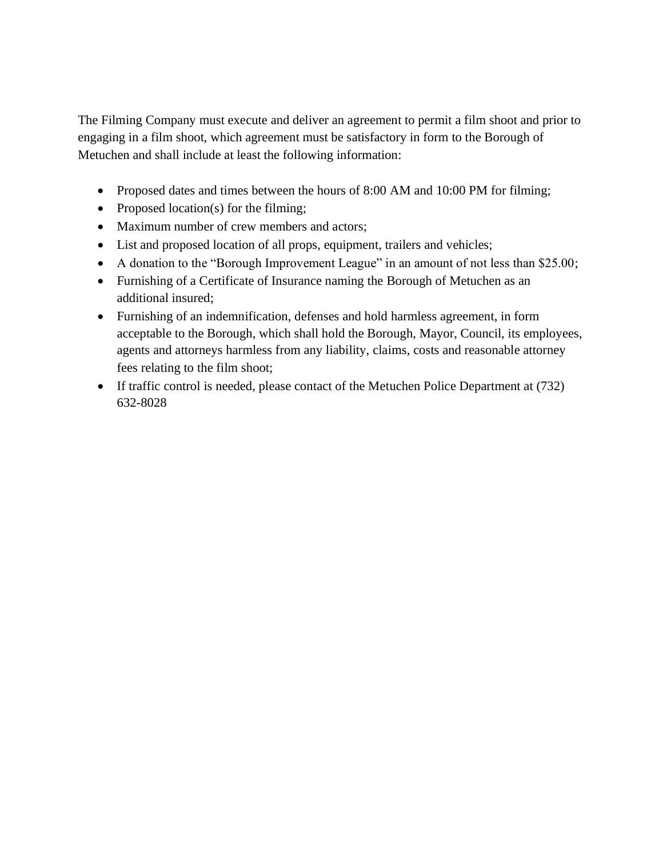The Filming Company must execute and deliver an agreement to permit a film shoot and prior to engaging in a film shoot, which agreement must be satisfactory in form to the Borough of Metuchen and shall include at least the following information:

- Proposed dates and times between the hours of 8:00 AM and 10:00 PM for filming;
- Proposed location(s) for the filming;
- Maximum number of crew members and actors;
- List and proposed location of all props, equipment, trailers and vehicles;
- A donation to the "Borough Improvement League" in an amount of not less than \$25.00;
- Furnishing of a Certificate of Insurance naming the Borough of Metuchen as an additional insured;
- Furnishing of an indemnification, defenses and hold harmless agreement, in form acceptable to the Borough, which shall hold the Borough, Mayor, Council, its employees, agents and attorneys harmless from any liability, claims, costs and reasonable attorney fees relating to the film shoot;
- If traffic control is needed, please contact of the Metuchen Police Department at (732) 632-8028